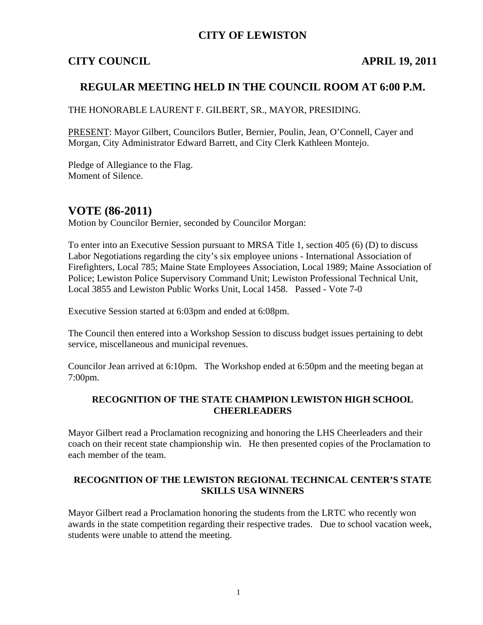## **CITY OF LEWISTON**

## **CITY COUNCIL APRIL 19, 2011**

## **REGULAR MEETING HELD IN THE COUNCIL ROOM AT 6:00 P.M.**

THE HONORABLE LAURENT F. GILBERT, SR., MAYOR, PRESIDING.

PRESENT: Mayor Gilbert, Councilors Butler, Bernier, Poulin, Jean, O'Connell, Cayer and Morgan, City Administrator Edward Barrett, and City Clerk Kathleen Montejo.

Pledge of Allegiance to the Flag. Moment of Silence.

## **VOTE (86-2011)**

Motion by Councilor Bernier, seconded by Councilor Morgan:

To enter into an Executive Session pursuant to MRSA Title 1, section 405 (6) (D) to discuss Labor Negotiations regarding the city's six employee unions - International Association of Firefighters, Local 785; Maine State Employees Association, Local 1989; Maine Association of Police; Lewiston Police Supervisory Command Unit; Lewiston Professional Technical Unit, Local 3855 and Lewiston Public Works Unit, Local 1458. Passed - Vote 7-0

Executive Session started at 6:03pm and ended at 6:08pm.

The Council then entered into a Workshop Session to discuss budget issues pertaining to debt service, miscellaneous and municipal revenues.

Councilor Jean arrived at 6:10pm. The Workshop ended at 6:50pm and the meeting began at 7:00pm.

#### **RECOGNITION OF THE STATE CHAMPION LEWISTON HIGH SCHOOL CHEERLEADERS**

Mayor Gilbert read a Proclamation recognizing and honoring the LHS Cheerleaders and their coach on their recent state championship win. He then presented copies of the Proclamation to each member of the team.

#### **RECOGNITION OF THE LEWISTON REGIONAL TECHNICAL CENTER'S STATE SKILLS USA WINNERS**

Mayor Gilbert read a Proclamation honoring the students from the LRTC who recently won awards in the state competition regarding their respective trades. Due to school vacation week, students were unable to attend the meeting.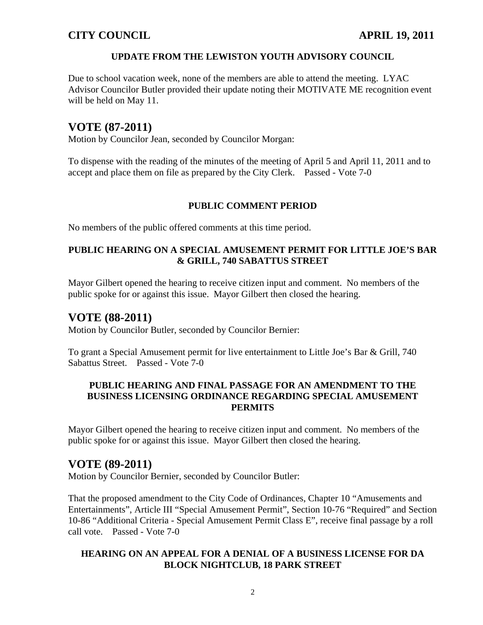## **UPDATE FROM THE LEWISTON YOUTH ADVISORY COUNCIL**

Due to school vacation week, none of the members are able to attend the meeting. LYAC Advisor Councilor Butler provided their update noting their MOTIVATE ME recognition event will be held on May 11.

# **VOTE (87-2011)**

Motion by Councilor Jean, seconded by Councilor Morgan:

To dispense with the reading of the minutes of the meeting of April 5 and April 11, 2011 and to accept and place them on file as prepared by the City Clerk. Passed - Vote 7-0

## **PUBLIC COMMENT PERIOD**

No members of the public offered comments at this time period.

## **PUBLIC HEARING ON A SPECIAL AMUSEMENT PERMIT FOR LITTLE JOE'S BAR & GRILL, 740 SABATTUS STREET**

Mayor Gilbert opened the hearing to receive citizen input and comment. No members of the public spoke for or against this issue. Mayor Gilbert then closed the hearing.

# **VOTE (88-2011)**

Motion by Councilor Butler, seconded by Councilor Bernier:

To grant a Special Amusement permit for live entertainment to Little Joe's Bar & Grill, 740 Sabattus Street. Passed - Vote 7-0

## **PUBLIC HEARING AND FINAL PASSAGE FOR AN AMENDMENT TO THE BUSINESS LICENSING ORDINANCE REGARDING SPECIAL AMUSEMENT PERMITS**

Mayor Gilbert opened the hearing to receive citizen input and comment. No members of the public spoke for or against this issue. Mayor Gilbert then closed the hearing.

# **VOTE (89-2011)**

Motion by Councilor Bernier, seconded by Councilor Butler:

That the proposed amendment to the City Code of Ordinances, Chapter 10 "Amusements and Entertainments", Article III "Special Amusement Permit", Section 10-76 "Required" and Section 10-86 "Additional Criteria - Special Amusement Permit Class E", receive final passage by a roll call vote. Passed - Vote 7-0

## **HEARING ON AN APPEAL FOR A DENIAL OF A BUSINESS LICENSE FOR DA BLOCK NIGHTCLUB, 18 PARK STREET**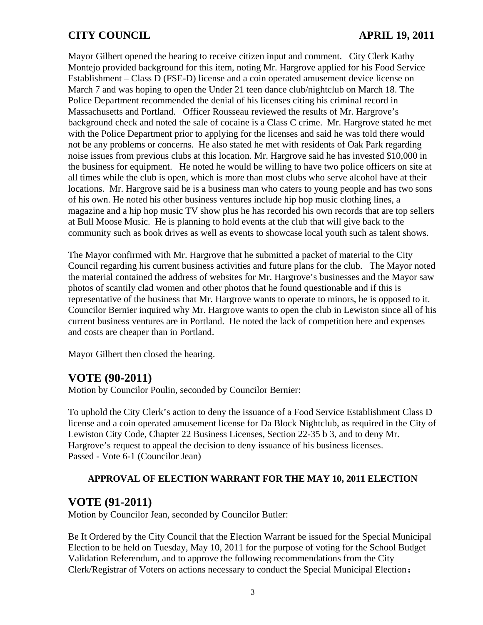# **CITY COUNCIL APRIL 19, 2011**

Mayor Gilbert opened the hearing to receive citizen input and comment. City Clerk Kathy Montejo provided background for this item, noting Mr. Hargrove applied for his Food Service Establishment – Class D (FSE-D) license and a coin operated amusement device license on March 7 and was hoping to open the Under 21 teen dance club/nightclub on March 18. The Police Department recommended the denial of his licenses citing his criminal record in Massachusetts and Portland. Officer Rousseau reviewed the results of Mr. Hargrove's background check and noted the sale of cocaine is a Class C crime. Mr. Hargrove stated he met with the Police Department prior to applying for the licenses and said he was told there would not be any problems or concerns. He also stated he met with residents of Oak Park regarding noise issues from previous clubs at this location. Mr. Hargrove said he has invested \$10,000 in the business for equipment. He noted he would be willing to have two police officers on site at all times while the club is open, which is more than most clubs who serve alcohol have at their locations. Mr. Hargrove said he is a business man who caters to young people and has two sons of his own. He noted his other business ventures include hip hop music clothing lines, a magazine and a hip hop music TV show plus he has recorded his own records that are top sellers at Bull Moose Music. He is planning to hold events at the club that will give back to the community such as book drives as well as events to showcase local youth such as talent shows.

The Mayor confirmed with Mr. Hargrove that he submitted a packet of material to the City Council regarding his current business activities and future plans for the club. The Mayor noted the material contained the address of websites for Mr. Hargrove's businesses and the Mayor saw photos of scantily clad women and other photos that he found questionable and if this is representative of the business that Mr. Hargrove wants to operate to minors, he is opposed to it. Councilor Bernier inquired why Mr. Hargrove wants to open the club in Lewiston since all of his current business ventures are in Portland. He noted the lack of competition here and expenses and costs are cheaper than in Portland.

Mayor Gilbert then closed the hearing.

# **VOTE (90-2011)**

Motion by Councilor Poulin, seconded by Councilor Bernier:

To uphold the City Clerk's action to deny the issuance of a Food Service Establishment Class D license and a coin operated amusement license for Da Block Nightclub, as required in the City of Lewiston City Code, Chapter 22 Business Licenses, Section 22-35 b 3, and to deny Mr. Hargrove's request to appeal the decision to deny issuance of his business licenses. Passed - Vote 6-1 (Councilor Jean)

## **APPROVAL OF ELECTION WARRANT FOR THE MAY 10, 2011 ELECTION**

# **VOTE (91-2011)**

Motion by Councilor Jean, seconded by Councilor Butler:

Be It Ordered by the City Council that the Election Warrant be issued for the Special Municipal Election to be held on Tuesday, May 10, 2011 for the purpose of voting for the School Budget Validation Referendum, and to approve the following recommendations from the City Clerk/Registrar of Voters on actions necessary to conduct the Special Municipal Election**:**